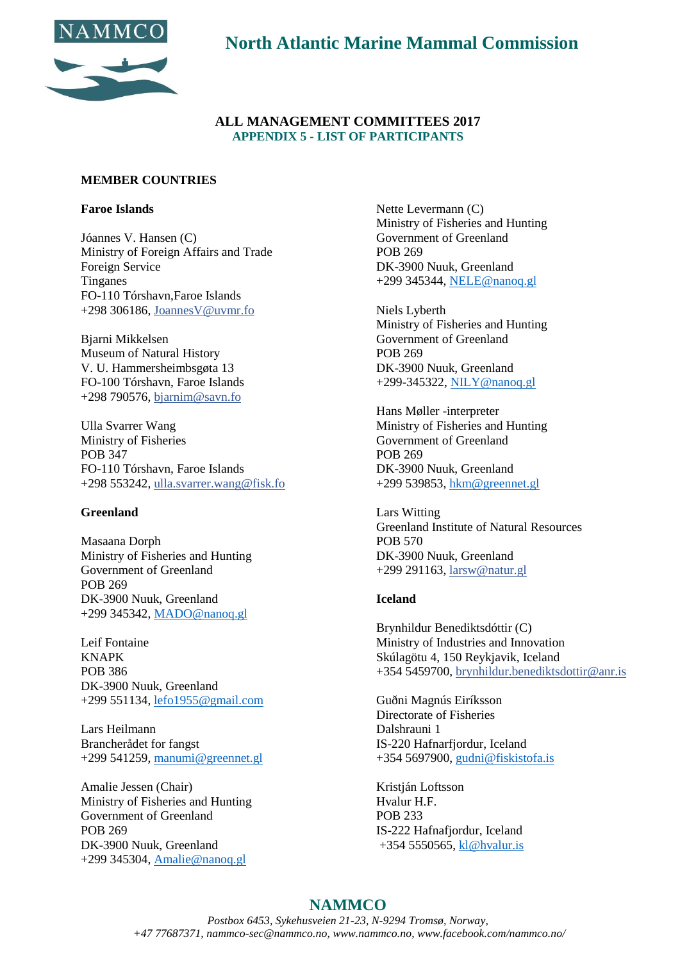

**North Atlantic Marine Mammal Commission**

### **ALL MANAGEMENT COMMITTEES 2017 APPENDIX 5 - LIST OF PARTICIPANTS**

#### **MEMBER COUNTRIES**

#### **Faroe Islands**

Jóannes V. Hansen (C) Ministry of Foreign Affairs and Trade Foreign Service Tinganes FO-110 Tórshavn,Faroe Islands +298 306186, JoannesV@uvmr.fo

Bjarni Mikkelsen Museum of Natural History V. U. Hammersheimbsgøta 13 FO-100 Tórshavn, Faroe Islands +298 790576, bjarnim@savn.fo

Ulla Svarrer Wang Ministry of Fisheries POB 347 FO-110 Tórshavn, Faroe Islands +298 553242, ulla.svarrer.wang@fisk.fo

### **Greenland**

Masaana Dorph Ministry of Fisheries and Hunting Government of Greenland POB 269 DK-3900 Nuuk, Greenland +299 345342, [MADO@nanoq.gl](mailto:MADO@nanoq.gl)

Leif Fontaine KNAPK POB 386 DK-3900 Nuuk, Greenland +299 551134, [lefo1955@gmail.com](mailto:lefo1955@gmail.com)

Lars Heilmann Brancherådet for fangst +299 541259, [manumi@greennet.gl](mailto:manumi@greennet.gl)

Amalie Jessen (Chair) Ministry of Fisheries and Hunting Government of Greenland POB 269 DK-3900 Nuuk, Greenland +299 345304, [Amalie@nanoq.gl](mailto:Amalie@nanoq.gl)

Nette Levermann (C) Ministry of Fisheries and Hunting Government of Greenland POB 269 DK-3900 Nuuk, Greenland +299 345344, [NELE@nanoq.gl](mailto:NELE@nanoq.gl)

Niels Lyberth Ministry of Fisheries and Hunting Government of Greenland POB 269 DK-3900 Nuuk, Greenland +299-345322, [NILY@nanoq.gl](mailto:NILY@nanoq.gl)

Hans Møller -interpreter Ministry of Fisheries and Hunting Government of Greenland POB 269 DK-3900 Nuuk, Greenland +299 539853, [hkm@greennet.gl](mailto:hkm@greennet.gl)

Lars Witting Greenland Institute of Natural Resources POB 570 DK-3900 Nuuk, Greenland +299 291163, larsw@natur.gl

#### **Iceland**

Brynhildur Benediktsdóttir (C) Ministry of Industries and Innovation Skúlagötu 4, 150 Reykjavik, Iceland +354 5459700, brynhildur.benediktsdottir@anr.is

Guðni Magnús Eiríksson Directorate of Fisheries Dalshrauni 1 IS-220 Hafnarfjordur, Iceland +354 5697900, [gudni@fiskistofa.is](mailto:gudni@fiskistofa.is)

Kristján Loftsson Hvalur H.F. POB 233 IS-222 Hafnafjordur, Iceland +354 5550565, [kl@hvalur.is](mailto:kl@hvalur.is)

# **NAMMCO**